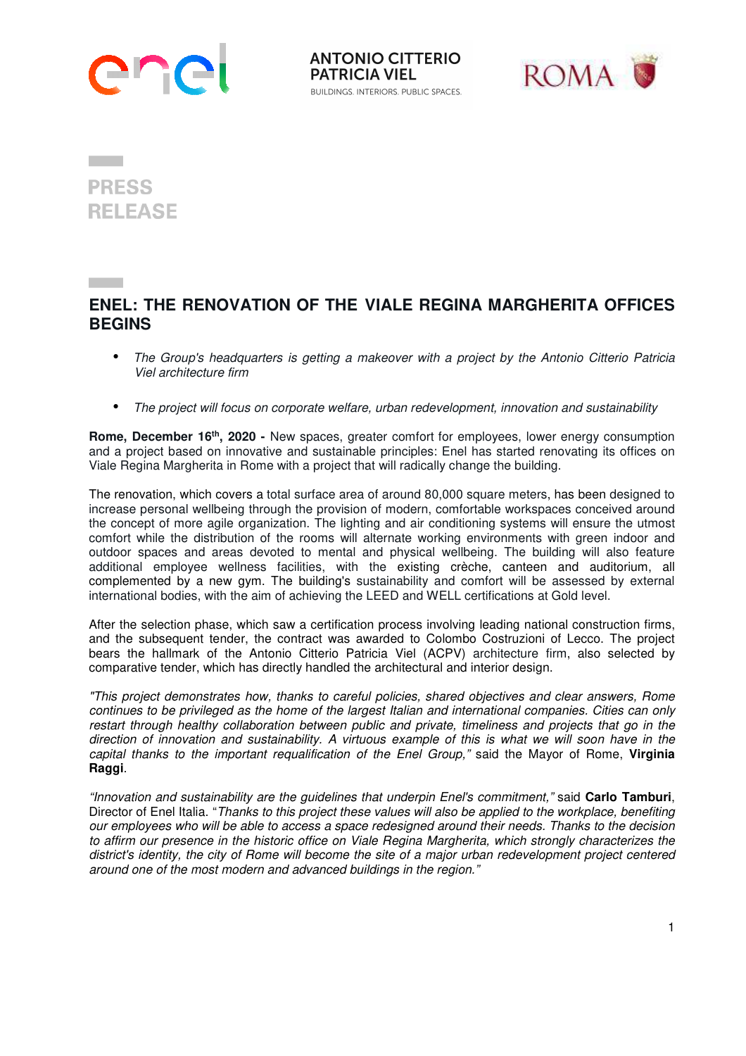

**ANTONIO CITTERIO PATRICIA VIEL BUILDINGS. INTERIORS. PUBLIC SPACES.** 



**PRESS RELEASE** 

## **ENEL: THE RENOVATION OF THE VIALE REGINA MARGHERITA OFFICES BEGINS**

- *The Group's headquarters is getting a makeover with a project by the Antonio Citterio Patricia Viel architecture firm*
- *The project will focus on corporate welfare, urban redevelopment, innovation and sustainability*

**Rome, December 16th, 2020 -** New spaces, greater comfort for employees, lower energy consumption and a project based on innovative and sustainable principles: Enel has started renovating its offices on Viale Regina Margherita in Rome with a project that will radically change the building.

The renovation, which covers a total surface area of around 80,000 square meters, has been designed to increase personal wellbeing through the provision of modern, comfortable workspaces conceived around the concept of more agile organization. The lighting and air conditioning systems will ensure the utmost comfort while the distribution of the rooms will alternate working environments with green indoor and outdoor spaces and areas devoted to mental and physical wellbeing. The building will also feature additional employee wellness facilities, with the existing crèche, canteen and auditorium, all complemented by a new gym. The building's sustainability and comfort will be assessed by external international bodies, with the aim of achieving the LEED and WELL certifications at Gold level.

After the selection phase, which saw a certification process involving leading national construction firms, and the subsequent tender, the contract was awarded to Colombo Costruzioni of Lecco. The project bears the hallmark of the Antonio Citterio Patricia Viel (ACPV) architecture firm, also selected by comparative tender, which has directly handled the architectural and interior design.

*"This project demonstrates how, thanks to careful policies, shared objectives and clear answers, Rome continues to be privileged as the home of the largest Italian and international companies. Cities can only*  restart through healthy collaboration between public and private, timeliness and projects that go in the *direction of innovation and sustainability. A virtuous example of this is what we will soon have in the capital thanks to the important requalification of the Enel Group,"* said the Mayor of Rome, **Virginia Raggi**.

*"Innovation and sustainability are the guidelines that underpin Enel's commitment,"* said **Carlo Tamburi**, Director of Enel Italia. "*Thanks to this project these values will also be applied to the workplace, benefiting our employees who will be able to access a space redesigned around their needs. Thanks to the decision to affirm our presence in the historic office on Viale Regina Margherita, which strongly characterizes the district's identity, the city of Rome will become the site of a major urban redevelopment project centered around one of the most modern and advanced buildings in the region."*